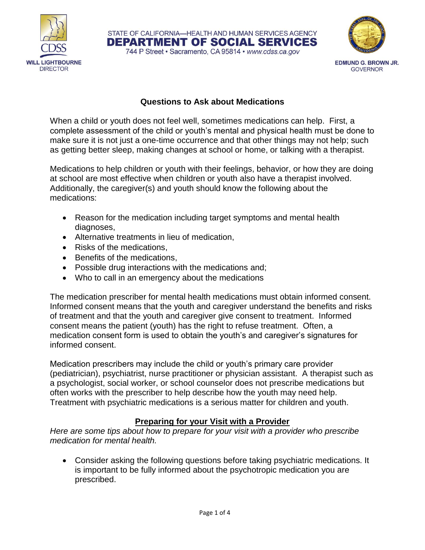



## **Questions to Ask about Medications**

STATE OF CALIFORNIA-HEALTH AND HUMAN SERVICES AGENCY **DEPARTMENT OF SOCIAL SERVICES** 744 P Street · Sacramento, CA 95814 · www.cdss.ca.gov

When a child or youth does not feel well, sometimes medications can help. First, a complete assessment of the child or youth's mental and physical health must be done to make sure it is not just a one-time occurrence and that other things may not help; such as getting better sleep, making changes at school or home, or talking with a therapist.

Medications to help children or youth with their feelings, behavior, or how they are doing at school are most effective when children or youth also have a therapist involved. Additionally, the caregiver(s) and youth should know the following about the medications:

- Reason for the medication including target symptoms and mental health diagnoses,
- Alternative treatments in lieu of medication,
- Risks of the medications.
- Benefits of the medications,
- Possible drug interactions with the medications and;
- Who to call in an emergency about the medications

The medication prescriber for mental health medications must obtain informed consent. Informed consent means that the youth and caregiver understand the benefits and risks of treatment and that the youth and caregiver give consent to treatment. Informed consent means the patient (youth) has the right to refuse treatment. Often, a medication consent form is used to obtain the youth's and caregiver's signatures for informed consent.

Medication prescribers may include the child or youth's primary care provider (pediatrician), psychiatrist, nurse practitioner or physician assistant. A therapist such as a psychologist, social worker, or school counselor does not prescribe medications but often works with the prescriber to help describe how the youth may need help. Treatment with psychiatric medications is a serious matter for children and youth.

### **Preparing for your Visit with a Provider**

*Here are some tips about how to prepare for your visit with a provider who prescribe medication for mental health.* 

 Consider asking the following questions before taking psychiatric medications. It is important to be fully informed about the psychotropic medication you are prescribed.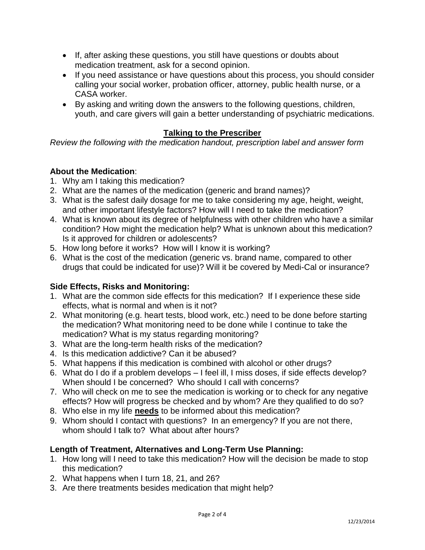- If, after asking these questions, you still have questions or doubts about medication treatment, ask for a second opinion.
- If you need assistance or have questions about this process, you should consider calling your social worker, probation officer, attorney, public health nurse, or a CASA worker.
- By asking and writing down the answers to the following questions, children, youth, and care givers will gain a better understanding of psychiatric medications.

# **Talking to the Prescriber**

*Review the following with the medication handout, prescription label and answer form*

### **About the Medication**:

- 1. Why am I taking this medication?
- 2. What are the names of the medication (generic and brand names)?
- 3. What is the safest daily dosage for me to take considering my age, height, weight, and other important lifestyle factors? How will I need to take the medication?
- 4. What is known about its degree of helpfulness with other children who have a similar condition? How might the medication help? What is unknown about this medication? Is it approved for children or adolescents?
- 5. How long before it works? How will I know it is working?
- 6. What is the cost of the medication (generic vs. brand name, compared to other drugs that could be indicated for use)? Will it be covered by Medi-Cal or insurance?

### **Side Effects, Risks and Monitoring:**

- 1. What are the common side effects for this medication? If I experience these side effects, what is normal and when is it not?
- 2. What monitoring (e.g. heart tests, blood work, etc.) need to be done before starting the medication? What monitoring need to be done while I continue to take the medication? What is my status regarding monitoring?
- 3. What are the long-term health risks of the medication?
- 4. Is this medication addictive? Can it be abused?
- 5. What happens if this medication is combined with alcohol or other drugs?
- 6. What do I do if a problem develops I feel ill, I miss doses, if side effects develop? When should I be concerned? Who should I call with concerns?
- 7. Who will check on me to see the medication is working or to check for any negative effects? How will progress be checked and by whom? Are they qualified to do so?
- 8. Who else in my life **needs** to be informed about this medication?
- 9. Whom should I contact with questions? In an emergency? If you are not there, whom should I talk to? What about after hours?

### **Length of Treatment, Alternatives and Long-Term Use Planning:**

- 1. How long will I need to take this medication? How will the decision be made to stop this medication?
- 2. What happens when I turn 18, 21, and 26?
- 3. Are there treatments besides medication that might help?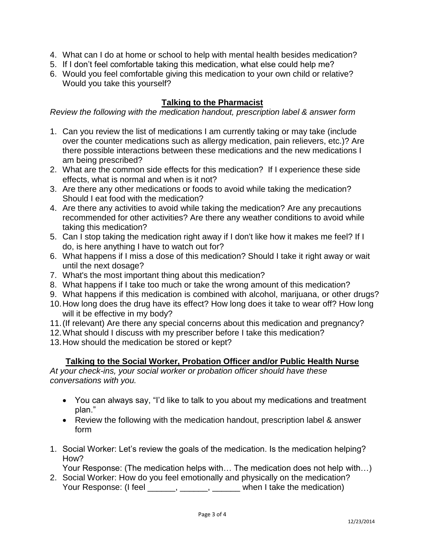- 4. What can I do at home or school to help with mental health besides medication?
- 5. If I don't feel comfortable taking this medication, what else could help me?
- 6. Would you feel comfortable giving this medication to your own child or relative? Would you take this yourself?

#### **Talking to the Pharmacist**

*Review the following with the medication handout, prescription label & answer form*

- 1. Can you review the list of medications I am currently taking or may take (include over the counter medications such as allergy medication, pain relievers, etc.)? Are there possible interactions between these medications and the new medications I am being prescribed?
- 2. What are the common side effects for this medication? If I experience these side effects, what is normal and when is it not?
- 3. Are there any other medications or foods to avoid while taking the medication? Should I eat food with the medication?
- 4. Are there any activities to avoid while taking the medication? Are any precautions recommended for other activities? Are there any weather conditions to avoid while taking this medication?
- 5. Can I stop taking the medication right away if I don't like how it makes me feel? If I do, is here anything I have to watch out for?
- 6. What happens if I miss a dose of this medication? Should I take it right away or wait until the next dosage?
- 7. What's the most important thing about this medication?
- 8. What happens if I take too much or take the wrong amount of this medication?
- 9. What happens if this medication is combined with alcohol, marijuana, or other drugs?
- 10.How long does the drug have its effect? How long does it take to wear off? How long will it be effective in my body?
- 11.(If relevant) Are there any special concerns about this medication and pregnancy?
- 12.What should I discuss with my prescriber before I take this medication?
- 13.How should the medication be stored or kept?

#### **Talking to the Social Worker, Probation Officer and/or Public Health Nurse**

*At your check-ins, your social worker or probation officer should have these conversations with you.* 

- You can always say, "I'd like to talk to you about my medications and treatment plan."
- Review the following with the medication handout, prescription label & answer form
- 1. Social Worker: Let's review the goals of the medication. Is the medication helping? How?

Your Response: (The medication helps with… The medication does not help with…)

2. Social Worker: How do you feel emotionally and physically on the medication? Your Response: (I feel \_\_\_\_\_, \_\_\_\_\_, \_\_\_\_\_, when I take the medication)